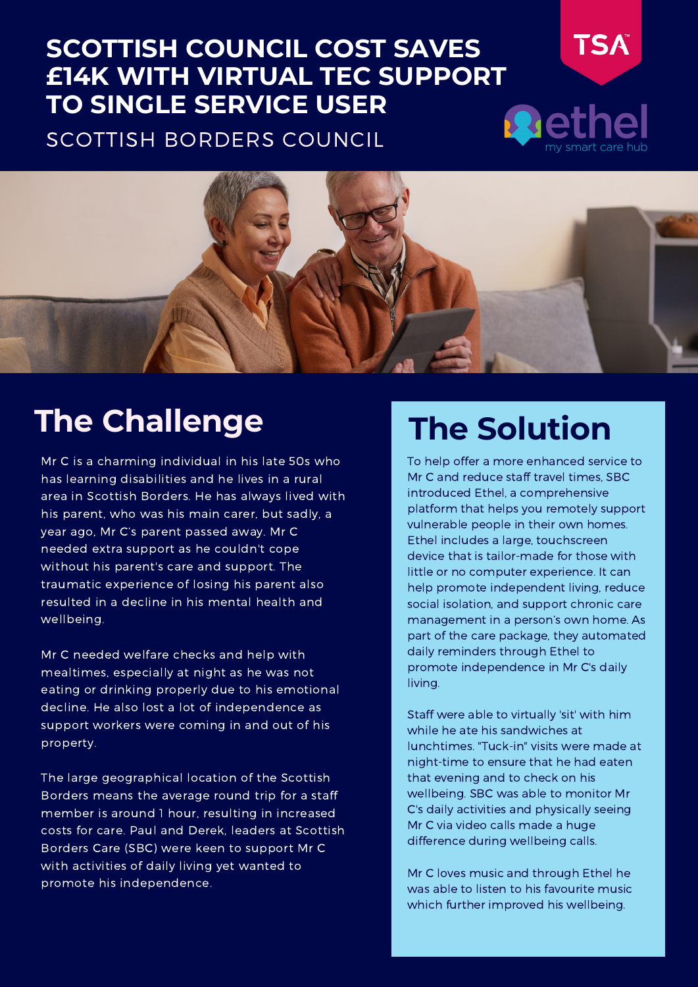#### **SCOTTISH COUNCIL COST SAVES £14K WITH VIRTUAL TEC SUPPORT TO SINGLE SERVICE USER R**d

SCOTTISH BORDERS COUNCIL



### **The Challenge**

Mr C is a charming individual in his late 50s who has learning disabilities and he lives in a rural area in Scottish Borders. He has always lived with his parent, who was his main carer, but sadly, a year ago, Mr C's parent passed away. Mr C needed extra support as he couldn't cope without his parent's care and support. The traumatic experience of losing his parent also resulted in a decline in his mental health and wellbeing.

Mr C needed welfare checks and help with mealtimes, especially at night as he was not eating or drinking properly due to his emotional decline. He also lost a lot of independence as support workers were coming in and out of his property.

The large geographical location of the Scottish Borders means the average round trip for a staff member is around 1 hour, resulting in increased costs for care. Paul and Derek, leaders at Scottish Borders Care (SBC) were keen to support Mr C with activities of daily living yet wanted to promote his independence.

#### **The Solution**

**TSA** 

To help offer a more enhanced service to Mr C and reduce staff travel times, SBC introduced Ethel, a comprehensive platform that helps you remotely support vulnerable people in their own homes. Ethel includes a large, touchscreen device that is tailor-made for those with little or no computer experience. It can help promote independent living, reduce social isolation, and support chronic care management in a person's own home. As part of the care package, they automated daily reminders through Ethel to promote independence in Mr C's daily living.

Staff were able to virtually 'sit' with him while he ate his sandwiches at lunchtimes. "Tuck-in" visits were made at night-time to ensure that he had eaten that evening and to check on his wellbeing. SBC was able to monitor Mr C's daily activities and physically seeing Mr C via video calls made a huge difference during wellbeing calls.

Mr C loves music and through Ethel he was able to listen to his favourite music which further improved his wellbeing.